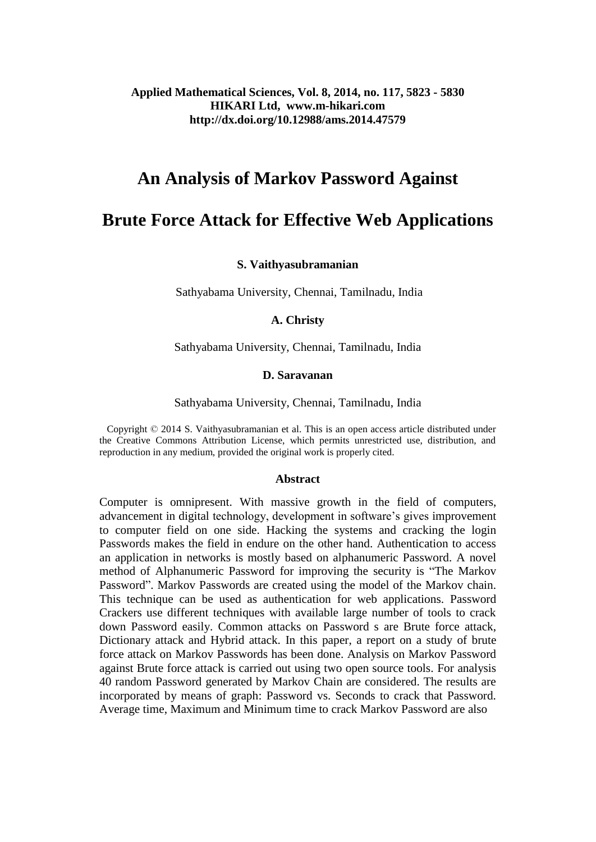### **Applied Mathematical Sciences, Vol. 8, 2014, no. 117, 5823 - 5830 HIKARI Ltd, www.m-hikari.com http://dx.doi.org/10.12988/ams.2014.47579**

# **An Analysis of Markov Password Against**

# **Brute Force Attack for Effective Web Applications**

#### **S. Vaithyasubramanian**

Sathyabama University, Chennai, Tamilnadu, India

#### **A. Christy**

### Sathyabama University, Chennai, Tamilnadu, India

#### **D. Saravanan**

#### Sathyabama University, Chennai, Tamilnadu, India

 Copyright © 2014 S. Vaithyasubramanian et al. This is an open access article distributed under the Creative Commons Attribution License, which permits unrestricted use, distribution, and reproduction in any medium, provided the original work is properly cited.

#### **Abstract**

Computer is omnipresent. With massive growth in the field of computers, advancement in digital technology, development in software's gives improvement to computer field on one side. Hacking the systems and cracking the login Passwords makes the field in endure on the other hand. Authentication to access an application in networks is mostly based on alphanumeric Password. A novel method of Alphanumeric Password for improving the security is "The Markov Password". Markov Passwords are created using the model of the Markov chain. This technique can be used as authentication for web applications. Password Crackers use different techniques with available large number of tools to crack down Password easily. Common attacks on Password s are Brute force attack, Dictionary attack and Hybrid attack. In this paper, a report on a study of brute force attack on Markov Passwords has been done. Analysis on Markov Password against Brute force attack is carried out using two open source tools. For analysis 40 random Password generated by Markov Chain are considered. The results are incorporated by means of graph: Password vs. Seconds to crack that Password. Average time, Maximum and Minimum time to crack Markov Password are also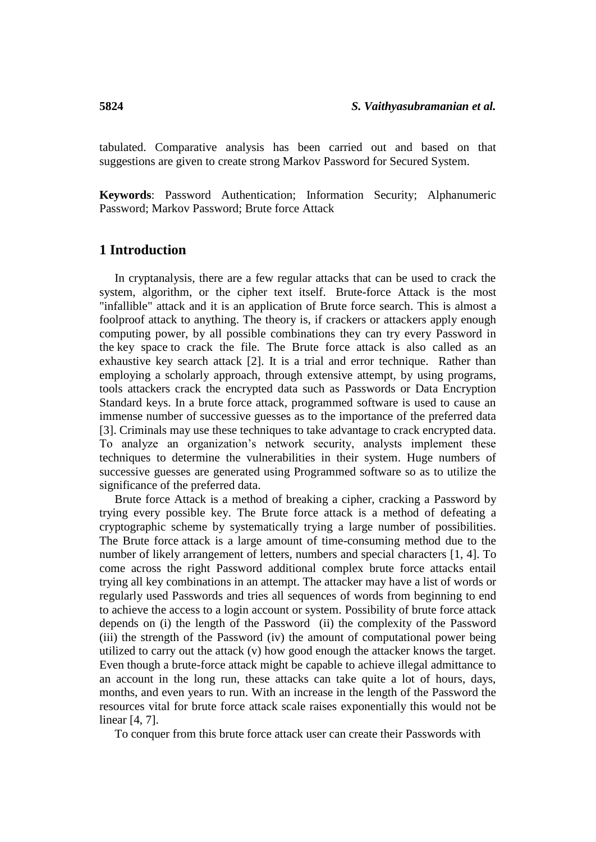tabulated. Comparative analysis has been carried out and based on that suggestions are given to create strong Markov Password for Secured System.

**Keywords**: Password Authentication; Information Security; Alphanumeric Password; Markov Password; Brute force Attack

### **1 Introduction**

In cryptanalysis, there are a few regular attacks that can be used to crack the system, algorithm, or the cipher text itself. Brute-force Attack is the most "infallible" attack and it is an application of Brute force search. This is almost a foolproof attack to anything. The theory is, if crackers or attackers apply enough computing power, by all possible combinations they can try every Password in the key space to crack the file. The Brute force attack is also called as an exhaustive key search attack [2]. It is a trial and error technique. Rather than employing a scholarly approach, through extensive attempt, by using programs, tools attackers crack the encrypted data such as Passwords or Data Encryption Standard keys. In a brute force attack, programmed software is used to cause an immense number of successive guesses as to the importance of the preferred data [3]. Criminals may use these techniques to take advantage to crack encrypted data. To analyze an organization's network security, analysts implement these techniques to determine the vulnerabilities in their system. Huge numbers of successive guesses are generated using Programmed software so as to utilize the significance of the preferred data.

Brute force Attack is a method of breaking a cipher, cracking a Password by trying every possible key. The Brute force attack is a method of defeating a cryptographic scheme by systematically trying a large number of possibilities. The Brute force attack is a large amount of time-consuming method due to the number of likely arrangement of letters, numbers and special characters [1, 4]. To come across the right Password additional complex brute force attacks entail trying all key combinations in an attempt. The attacker may have a list of words or regularly used Passwords and tries all sequences of words from beginning to end to achieve the access to a login account or system. Possibility of brute force attack depends on (i) the length of the Password (ii) the complexity of the Password (iii) the strength of the Password (iv) the amount of computational power being utilized to carry out the attack (v) how good enough the attacker knows the target. Even though a brute-force attack might be capable to achieve illegal admittance to an account in the long run, these attacks can take quite a lot of hours, days, months, and even years to run. With an increase in the length of the Password the resources vital for brute force attack scale raises exponentially this would not be linear [4, 7].

To conquer from this brute force attack user can create their Passwords with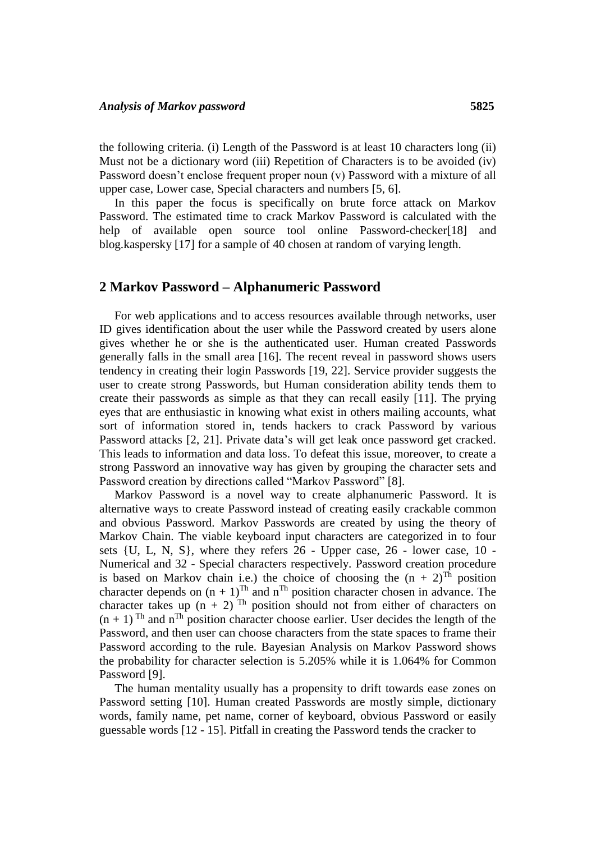the following criteria. (i) Length of the Password is at least 10 characters long (ii) Must not be a dictionary word (iii) Repetition of Characters is to be avoided (iv) Password doesn't enclose frequent proper noun (v) Password with a mixture of all upper case, Lower case, Special characters and numbers [5, 6].

In this paper the focus is specifically on brute force attack on Markov Password. The estimated time to crack Markov Password is calculated with the help of available open source tool online Password-checker[18] and blog.kaspersky [17] for a sample of 40 chosen at random of varying length.

### **2 Markov Password – Alphanumeric Password**

For web applications and to access resources available through networks, user ID gives identification about the user while the Password created by users alone gives whether he or she is the authenticated user. Human created Passwords generally falls in the small area [16]. The recent reveal in password shows users tendency in creating their login Passwords [19, 22]. Service provider suggests the user to create strong Passwords, but Human consideration ability tends them to create their passwords as simple as that they can recall easily [11]. The prying eyes that are enthusiastic in knowing what exist in others mailing accounts, what sort of information stored in, tends hackers to crack Password by various Password attacks [2, 21]. Private data's will get leak once password get cracked. This leads to information and data loss. To defeat this issue, moreover, to create a strong Password an innovative way has given by grouping the character sets and Password creation by directions called "Markov Password" [8].

Markov Password is a novel way to create alphanumeric Password. It is alternative ways to create Password instead of creating easily crackable common and obvious Password. Markov Passwords are created by using the theory of Markov Chain. The viable keyboard input characters are categorized in to four sets {U, L, N, S}, where they refers 26 - Upper case, 26 - lower case, 10 - Numerical and 32 - Special characters respectively. Password creation procedure is based on Markov chain i.e.) the choice of choosing the  $(n + 2)^{Th}$  position character depends on  $(n + 1)^{Th}$  and  $n^{Th}$  position character chosen in advance. The character takes up  $(n + 2)^{Th}$  position should not from either of characters on  $(n + 1)$ <sup>Th</sup> and n<sup>Th</sup> position character choose earlier. User decides the length of the Password, and then user can choose characters from the state spaces to frame their Password according to the rule. Bayesian Analysis on Markov Password shows the probability for character selection is 5.205% while it is 1.064% for Common Password [9].

The human mentality usually has a propensity to drift towards ease zones on Password setting [10]. Human created Passwords are mostly simple, dictionary words, family name, pet name, corner of keyboard, obvious Password or easily guessable words [12 - 15]. Pitfall in creating the Password tends the cracker to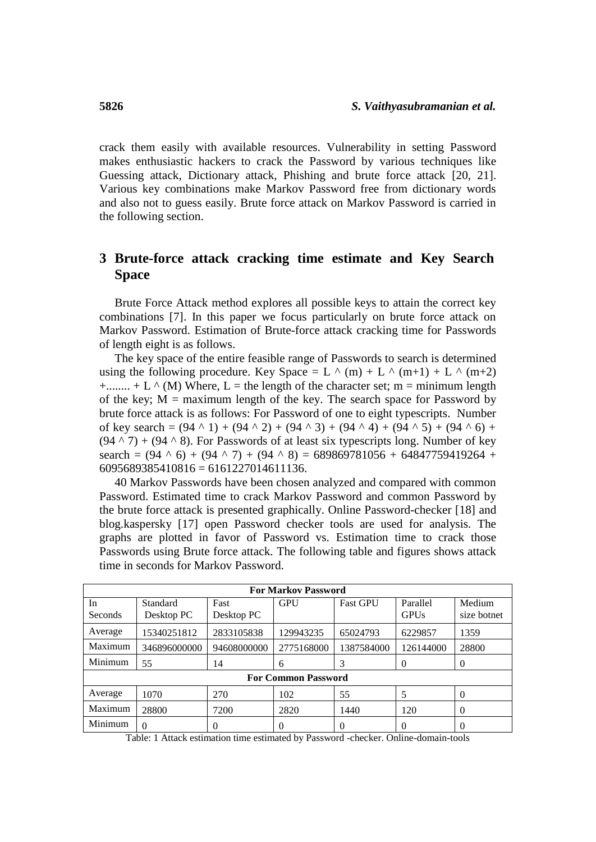crack them easily with available resources. Vulnerability in setting Password makes enthusiastic hackers to crack the Password by various techniques like Guessing attack, Dictionary attack, Phishing and brute force attack [20, 21]. Various key combinations make Markov Password free from dictionary words and also not to guess easily. Brute force attack on Markov Password is carried in the following section.

# **3 Brute-force attack cracking time estimate and Key Search Space**

Brute Force Attack method explores all possible keys to attain the correct key combinations [7]. In this paper we focus particularly on brute force attack on Markov Password. Estimation of Brute-force attack cracking time for Passwords of length eight is as follows.

The key space of the entire feasible range of Passwords to search is determined using the following procedure. Key Space = L  $\land$  (m) + L  $\land$  (m+1) + L  $\land$  (m+2)  $+...$ ....... + L  $\wedge$  (M) Where, L = the length of the character set; m = minimum length of the key;  $M =$  maximum length of the key. The search space for Password by brute force attack is as follows: For Password of one to eight typescripts. Number of key search =  $(94 \land 1) + (94 \land 2) + (94 \land 3) + (94 \land 4) + (94 \land 5) + (94 \land 6) +$  $(94 \land 7) + (94 \land 8)$ . For Passwords of at least six typescripts long. Number of key search =  $(94 \land 6) + (94 \land 7) + (94 \land 8) = 689869781056 + 64847759419264 +$  $6095689385410816 = 6161227014611136.$ 

40 Markov Passwords have been chosen analyzed and compared with common Password. Estimated time to crack Markov Password and common Password by the brute force attack is presented graphically. Online Password-checker [18] and blog.kaspersky [17] open Password checker tools are used for analysis. The graphs are plotted in favor of Password vs. Estimation time to crack those Passwords using Brute force attack. The following table and figures shows attack time in seconds for Markov Password.

| <b>For Markov Password</b> |                        |                    |            |                 |                         |                       |  |  |  |
|----------------------------|------------------------|--------------------|------------|-----------------|-------------------------|-----------------------|--|--|--|
| In<br>Seconds              | Standard<br>Desktop PC | Fast<br>Desktop PC | GPU        | <b>Fast GPU</b> | Parallel<br><b>GPUs</b> | Medium<br>size botnet |  |  |  |
| Average                    | 15340251812            | 2833105838         | 129943235  | 65024793        | 6229857                 | 1359                  |  |  |  |
| Maximum                    | 346896000000           | 94608000000        | 2775168000 | 1387584000      | 126144000               | 28800                 |  |  |  |
| Minimum                    | 55                     | 14                 | 6          | 3               | 0                       | $\theta$              |  |  |  |
| <b>For Common Password</b> |                        |                    |            |                 |                         |                       |  |  |  |
| Average                    | 1070                   | 270                | 102        | 55              | 5                       | $\theta$              |  |  |  |
| Maximum                    | 28800                  | 7200               | 2820       | 1440            | 120                     | $\Omega$              |  |  |  |
| Minimum                    | $\Omega$               | 0                  | $\Omega$   | 0               | 0                       | $\Omega$              |  |  |  |

Table: 1 Attack estimation time estimated by Password -checker. Online-domain-tools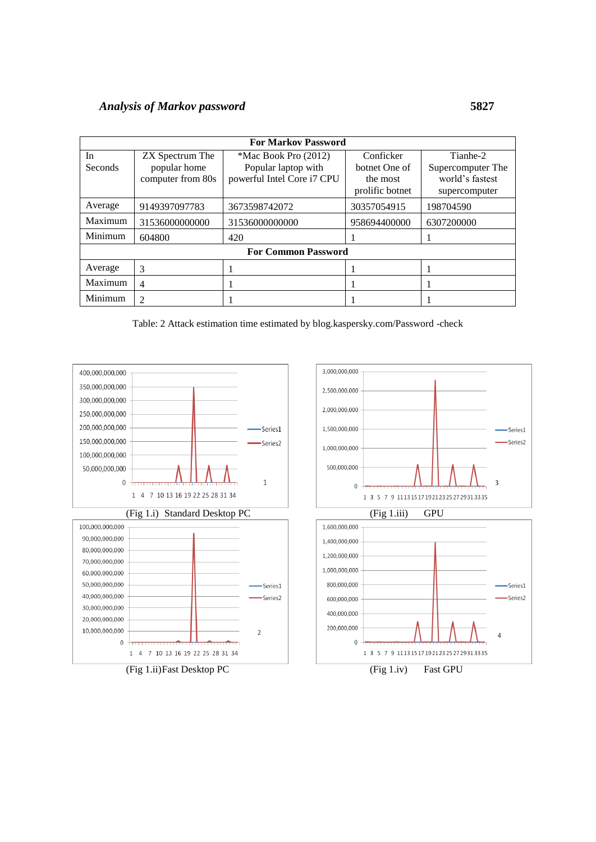# *Analysis of Markov password* **5827**

| <b>For Markov Password</b> |                             |                            |                 |                   |  |  |  |  |
|----------------------------|-----------------------------|----------------------------|-----------------|-------------------|--|--|--|--|
| In                         | ZX Spectrum The             | *Mac Book Pro (2012)       | Conficker       | Tianhe-2          |  |  |  |  |
| <b>Seconds</b>             | popular home                | Popular laptop with        | botnet One of   | Supercomputer The |  |  |  |  |
|                            | computer from 80s           | powerful Intel Core i7 CPU | the most        | world's fastest   |  |  |  |  |
|                            |                             |                            | prolific botnet | supercomputer     |  |  |  |  |
| Average                    | 9149397097783               | 3673598742072              | 30357054915     | 198704590         |  |  |  |  |
| Maximum                    | 31536000000000              | 31536000000000             | 958694400000    | 6307200000        |  |  |  |  |
| Minimum                    | 604800                      | 420                        |                 |                   |  |  |  |  |
| <b>For Common Password</b> |                             |                            |                 |                   |  |  |  |  |
| Average                    | 3                           |                            |                 |                   |  |  |  |  |
| Maximum                    | 4                           |                            |                 |                   |  |  |  |  |
| Minimum                    | $\mathcal{D}_{\mathcal{L}}$ |                            |                 |                   |  |  |  |  |

Table: 2 Attack estimation time estimated by blog.kaspersky.com/Password -check

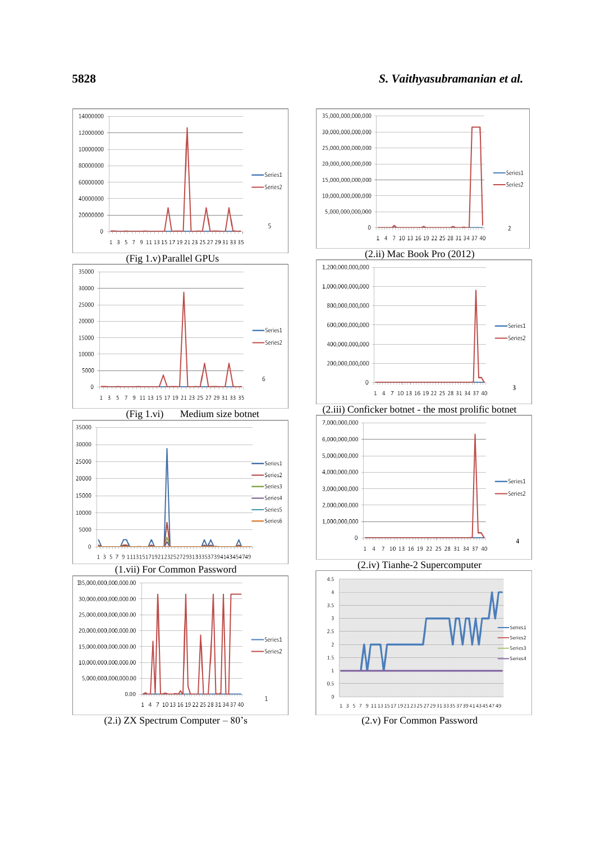

**5828**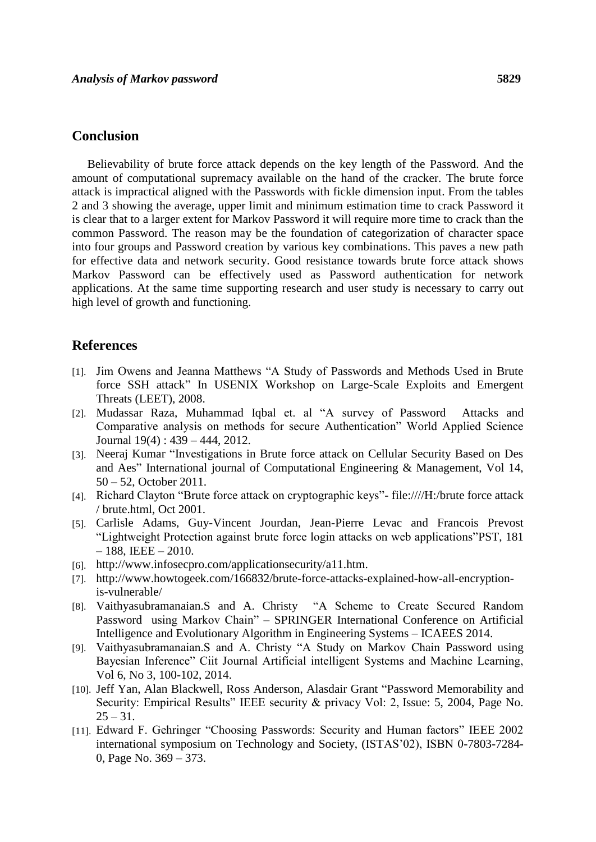### **Conclusion**

Believability of brute force attack depends on the key length of the Password. And the amount of computational supremacy available on the hand of the cracker. The brute force attack is impractical aligned with the Passwords with fickle dimension input. From the tables 2 and 3 showing the average, upper limit and minimum estimation time to crack Password it is clear that to a larger extent for Markov Password it will require more time to crack than the common Password. The reason may be the foundation of categorization of character space into four groups and Password creation by various key combinations. This paves a new path for effective data and network security. Good resistance towards brute force attack shows Markov Password can be effectively used as Password authentication for network applications. At the same time supporting research and user study is necessary to carry out high level of growth and functioning.

## **References**

- [1]. Jim Owens and Jeanna Matthews "A Study of Passwords and Methods Used in Brute force SSH attack" In USENIX Workshop on Large-Scale Exploits and Emergent Threats (LEET), 2008.
- [2]. Mudassar Raza, Muhammad Iqbal et. al "A survey of Password Attacks and Comparative analysis on methods for secure Authentication" World Applied Science Journal 19(4) : 439 – 444, 2012.
- [3]. Neeraj Kumar "Investigations in Brute force attack on Cellular Security Based on Des and Aes" International journal of Computational Engineering & Management, Vol 14, 50 – 52, October 2011.
- [4]. Richard Clayton "Brute force attack on cryptographic keys"- file:////H:/brute force attack / brute.html, Oct 2001.
- [5]. Carlisle Adams, Guy-Vincent Jourdan, Jean-Pierre Levac and Francois Prevost "Lightweight Protection against brute force login attacks on web applications"PST, 181  $-188$ , IEEE  $-2010$ .
- [6]. http://www.infosecpro.com/applicationsecurity/a11.htm.
- [7]. http://www.howtogeek.com/166832/brute-force-attacks-explained-how-all-encryptionis-vulnerable/
- [8]. Vaithyasubramanaian.S and A. Christy "A Scheme to Create Secured Random Password using Markov Chain" – SPRINGER International Conference on Artificial Intelligence and Evolutionary Algorithm in Engineering Systems – ICAEES 2014.
- [9]. Vaithyasubramanaian.S and A. Christy "A Study on Markov Chain Password using Bayesian Inference" Ciit Journal Artificial intelligent Systems and Machine Learning, Vol 6, No 3, 100-102, 2014.
- [10]. Jeff Yan, Alan Blackwell, Ross Anderson, Alasdair Grant "Password Memorability and Security: Empirical Results" IEEE security & privacy Vol: 2, Issue: 5, 2004, Page No.  $25 - 31$ .
- [11]. Edward F. Gehringer "Choosing Passwords: Security and Human factors" IEEE 2002 international symposium on Technology and Society, (ISTAS'02), ISBN 0-7803-7284- 0, Page No. 369 – 373.